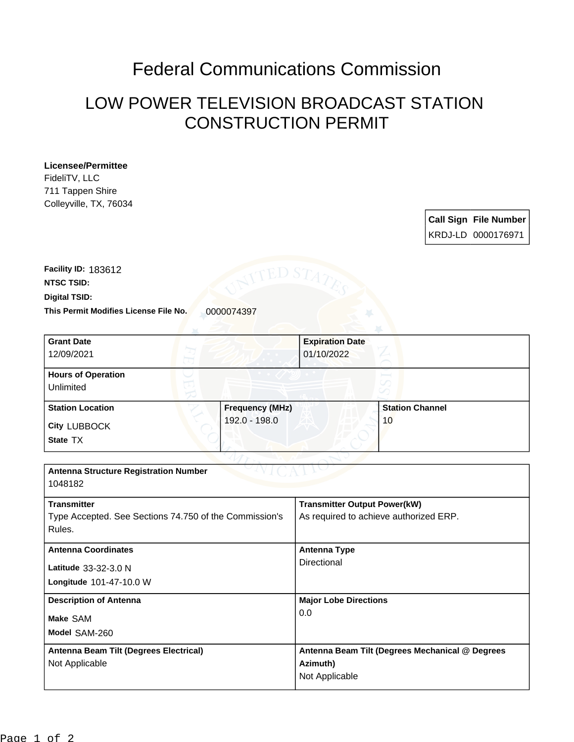## Federal Communications Commission

## LOW POWER TELEVISION BROADCAST STATION CONSTRUCTION PERMIT

## **Licensee/Permittee**

FideliTV, LLC 711 Tappen Shire Colleyville, TX, 76034

| <b>Call Sign File Number</b> |
|------------------------------|
| KRDJ-LD 0000176971           |

**This Permit Modifies License File No.** 0000074397 **Digital TSID: NTSC TSID: Facility ID:** 183612

| <b>Grant Date</b>                                      |                 | <b>Expiration Date</b>                 |                                                 |  |
|--------------------------------------------------------|-----------------|----------------------------------------|-------------------------------------------------|--|
| 12/09/2021                                             |                 | 01/10/2022                             |                                                 |  |
| <b>Hours of Operation</b>                              |                 |                                        |                                                 |  |
| Unlimited                                              |                 |                                        |                                                 |  |
| <b>Station Location</b>                                | Frequency (MHz) |                                        | <b>Station Channel</b>                          |  |
| <b>City LUBBOCK</b>                                    | 192.0 - 198.0   |                                        | 10                                              |  |
| State TX                                               |                 |                                        |                                                 |  |
|                                                        |                 |                                        |                                                 |  |
| <b>Antenna Structure Registration Number</b>           |                 |                                        |                                                 |  |
| 1048182                                                |                 |                                        |                                                 |  |
| <b>Transmitter</b>                                     |                 | <b>Transmitter Output Power(kW)</b>    |                                                 |  |
| Type Accepted. See Sections 74.750 of the Commission's |                 | As required to achieve authorized ERP. |                                                 |  |
| Rules.                                                 |                 |                                        |                                                 |  |
| <b>Antenna Coordinates</b>                             |                 | <b>Antenna Type</b>                    |                                                 |  |
| Latitude 33-32-3.0 N                                   |                 | Directional                            |                                                 |  |
| Longitude 101-47-10.0 W                                |                 |                                        |                                                 |  |
| <b>Description of Antenna</b>                          |                 | <b>Major Lobe Directions</b>           |                                                 |  |
| Make SAM                                               |                 | 0.0                                    |                                                 |  |
| Model SAM-260                                          |                 |                                        |                                                 |  |
| Antenna Beam Tilt (Degrees Electrical)                 |                 |                                        | Antenna Beam Tilt (Degrees Mechanical @ Degrees |  |
| Not Applicable                                         |                 | Azimuth)                               |                                                 |  |
|                                                        |                 | Not Applicable                         |                                                 |  |
|                                                        |                 |                                        |                                                 |  |